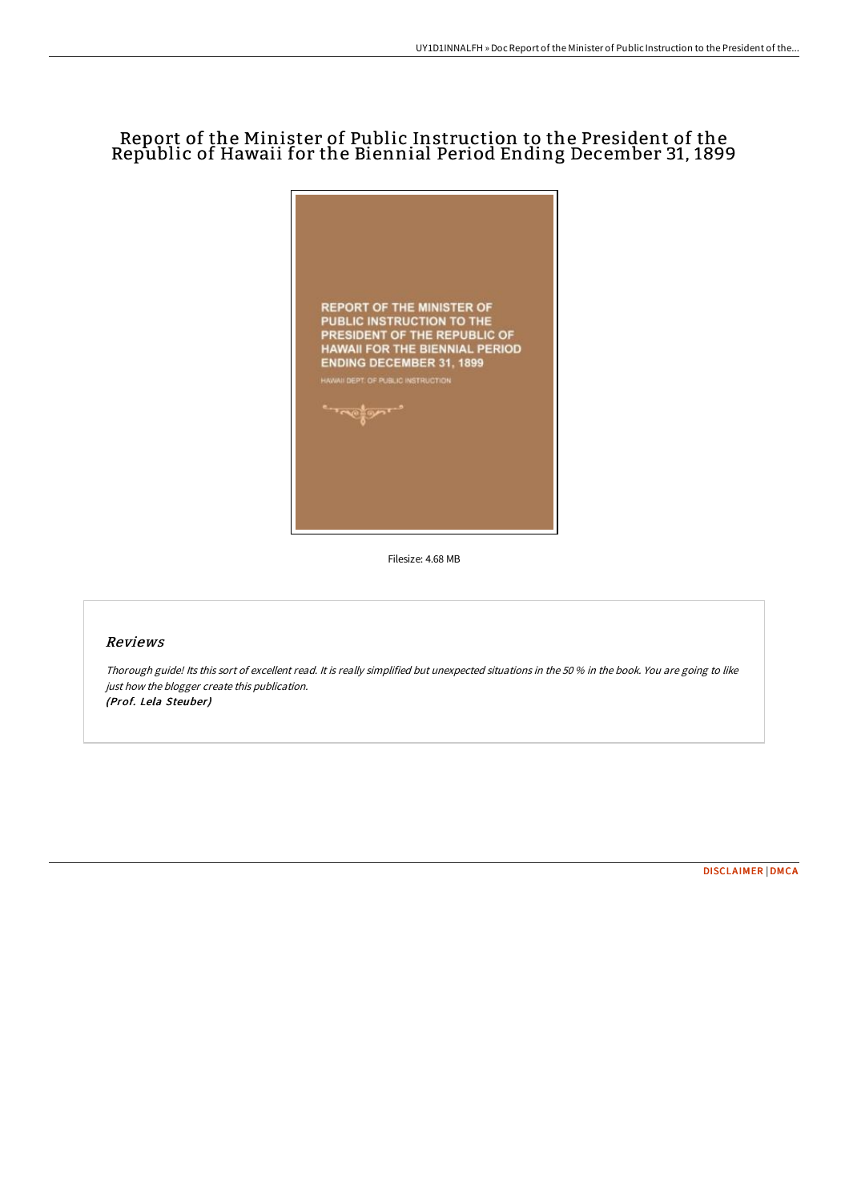## Report of the Minister of Public Instruction to the President of the Republic of Hawaii for the Biennial Period Ending December 31, 1899



Filesize: 4.68 MB

## Reviews

Thorough guide! Its this sort of excellent read. It is really simplified but unexpected situations in the <sup>50</sup> % in the book. You are going to like just how the blogger create this publication. (Prof. Lela Steuber)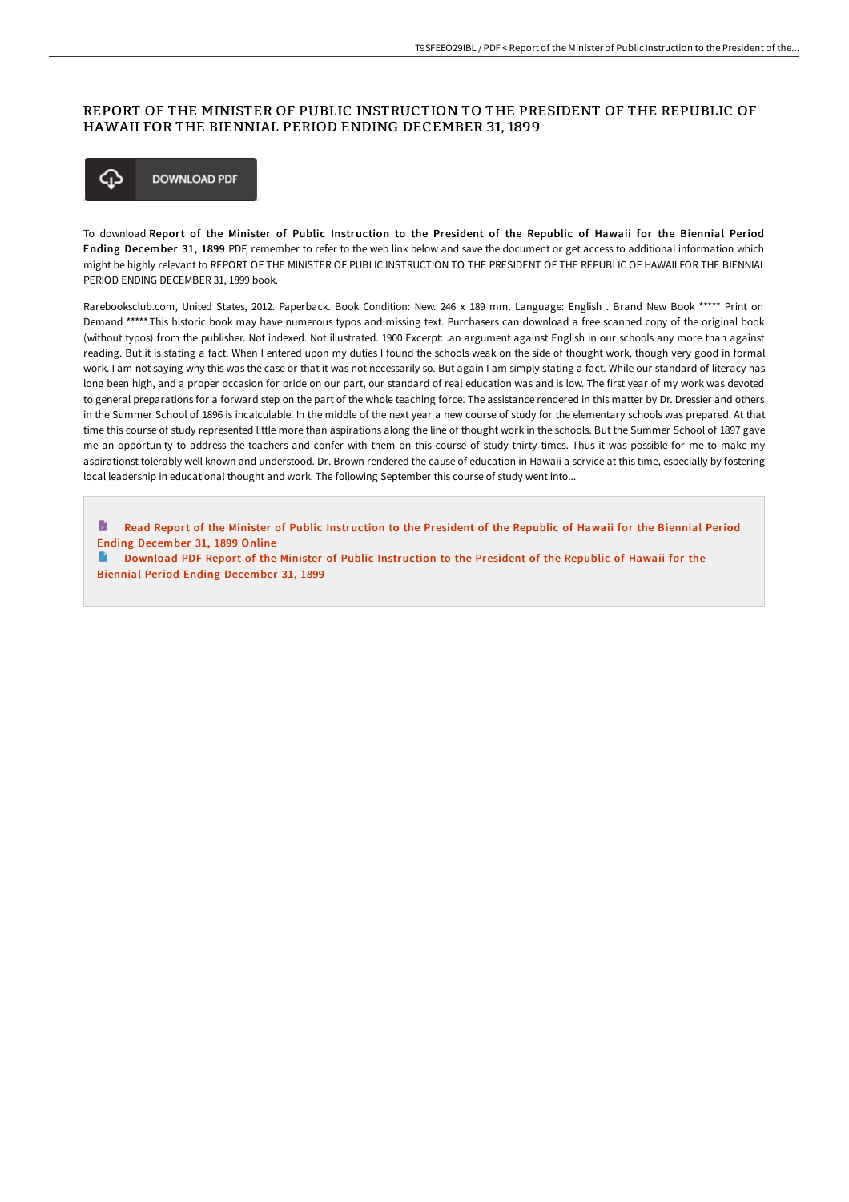## REPORT OF THE MINISTER OF PUBLIC INSTRUCTION TO THE PRESIDENT OF THE REPUBLIC OF HAWAII FOR THE BIENNIAL PERIOD ENDING DECEMBER 31, 1899



To download Report of the Minister of Public Instruction to the President of the Republic of Hawaii for the Biennial Period Ending December 31, 1899 PDF, remember to refer to the web link below and save the document or get access to additional information which might be highly relevant to REPORT OF THE MINISTER OF PUBLIC INSTRUCTION TO THE PRESIDENT OF THE REPUBLIC OF HAWAII FOR THE BIENNIAL PERIOD ENDING DECEMBER 31, 1899 book.

Rarebooksclub.com, United States, 2012. Paperback. Book Condition: New. 246 x 189 mm. Language: English . Brand New Book \*\*\*\*\* Print on Demand \*\*\*\*\*.This historic book may have numerous typos and missing text. Purchasers can download a free scanned copy of the original book (without typos) from the publisher. Not indexed. Not illustrated. 1900 Excerpt: .an argument against English in our schools any more than against reading. But it is stating a fact. When I entered upon my duties I found the schools weak on the side of thought work, though very good in formal work. I am not saying why this was the case or that it was not necessarily so. But again I am simply stating a fact. While our standard of literacy has long been high, and a proper occasion for pride on our part, our standard of real education was and is low. The first year of my work was devoted to general preparations for a forward step on the part of the whole teaching force. The assistance rendered in this matter by Dr. Dressier and others in the Summer School of 1896 is incalculable. In the middle of the next year a new course of study for the elementary schools was prepared. At that time this course of study represented little more than aspirations along the line of thought work in the schools. But the Summer School of 1897 gave me an opportunity to address the teachers and confer with them on this course of study thirty times. Thus it was possible for me to make my aspirationst tolerably well known and understood. Dr. Brown rendered the cause of education in Hawaii a service at this time, especially by fostering local leadership in educational thought and work. The following September this course of study went into...

h Read Report of the Minister of Public [Instruction](http://techno-pub.tech/report-of-the-minister-of-public-instruction-to-.html) to the President of the Republic of Hawaii for the Biennial Period Ending December 31, 1899 Online

Download PDF Report of the Minister of Public [Instruction](http://techno-pub.tech/report-of-the-minister-of-public-instruction-to-.html) to the President of the Republic of Hawaii for the Biennial Period Ending December 31, 1899